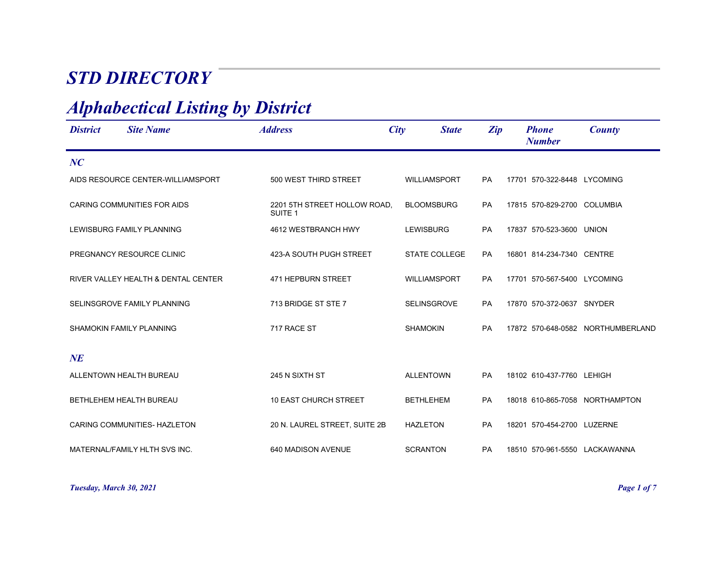## *STD DIRECTORY*

## *Alphabectical Listing by District*

| <b>District</b> | <b>Site Name</b>                    | <b>Address</b>                                     | City<br><b>State</b> | Zip       | <b>Phone</b><br><b>Number</b>  | County                            |
|-----------------|-------------------------------------|----------------------------------------------------|----------------------|-----------|--------------------------------|-----------------------------------|
| NC              |                                     |                                                    |                      |           |                                |                                   |
|                 | AIDS RESOURCE CENTER-WILLIAMSPORT   | 500 WEST THIRD STREET                              | <b>WILLIAMSPORT</b>  | <b>PA</b> | 17701 570-322-8448 LYCOMING    |                                   |
|                 | <b>CARING COMMUNITIES FOR AIDS</b>  | 2201 5TH STREET HOLLOW ROAD,<br>SUITE <sub>1</sub> | <b>BLOOMSBURG</b>    | PA        | 17815 570-829-2700 COLUMBIA    |                                   |
|                 | LEWISBURG FAMILY PLANNING           | 4612 WESTBRANCH HWY                                | <b>LEWISBURG</b>     | PA        | 17837 570-523-3600 UNION       |                                   |
|                 | PREGNANCY RESOURCE CLINIC           | 423-A SOUTH PUGH STREET                            | <b>STATE COLLEGE</b> | <b>PA</b> | 16801 814-234-7340 CENTRE      |                                   |
|                 | RIVER VALLEY HEALTH & DENTAL CENTER | 471 HEPBURN STREET                                 | <b>WILLIAMSPORT</b>  | <b>PA</b> | 17701 570-567-5400 LYCOMING    |                                   |
|                 | SELINSGROVE FAMILY PLANNING         | 713 BRIDGE ST STE 7                                | <b>SELINSGROVE</b>   | <b>PA</b> | 17870 570-372-0637 SNYDER      |                                   |
|                 | SHAMOKIN FAMILY PLANNING            | 717 RACE ST                                        | <b>SHAMOKIN</b>      | PA        |                                | 17872 570-648-0582 NORTHUMBERLAND |
| NE              |                                     |                                                    |                      |           |                                |                                   |
|                 | ALLENTOWN HEALTH BUREAU             | 245 N SIXTH ST                                     | <b>ALLENTOWN</b>     | <b>PA</b> | 18102 610-437-7760 LEHIGH      |                                   |
|                 | BETHLEHEM HEALTH BUREAU             | <b>10 EAST CHURCH STREET</b>                       | <b>BETHLEHEM</b>     | <b>PA</b> | 18018 610-865-7058 NORTHAMPTON |                                   |
|                 | CARING COMMUNITIES- HAZLETON        | 20 N. LAUREL STREET, SUITE 2B                      | <b>HAZLETON</b>      | <b>PA</b> | 18201 570-454-2700 LUZERNE     |                                   |
|                 | MATERNAL/FAMILY HLTH SVS INC.       | 640 MADISON AVENUE                                 | <b>SCRANTON</b>      | <b>PA</b> | 18510 570-961-5550 LACKAWANNA  |                                   |

*Tuesday, March 30, 2021 Page 1 of 7*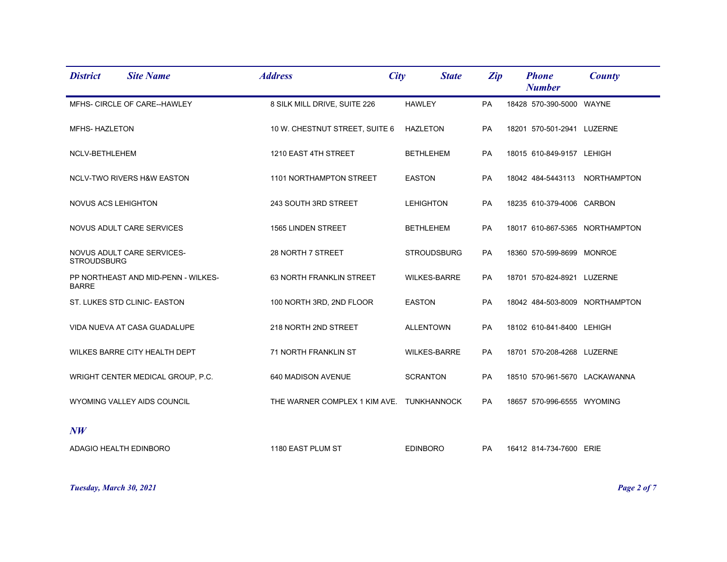| <b>District</b>        | <b>Site Name</b>                      | <b>Address</b>                            | City | <b>State</b>        | Zip       | <b>Phone</b><br><b>Number</b> | County                         |
|------------------------|---------------------------------------|-------------------------------------------|------|---------------------|-----------|-------------------------------|--------------------------------|
|                        | MFHS- CIRCLE OF CARE--HAWLEY          | 8 SILK MILL DRIVE, SUITE 226              |      | <b>HAWLEY</b>       | PA        | 18428 570-390-5000 WAYNE      |                                |
| MFHS-HAZLETON          |                                       | 10 W. CHESTNUT STREET, SUITE 6            |      | <b>HAZLETON</b>     | PA        | 18201 570-501-2941 LUZERNE    |                                |
| NCLV-BETHLEHEM         |                                       | 1210 EAST 4TH STREET                      |      | <b>BETHLEHEM</b>    | PA        | 18015 610-849-9157 LEHIGH     |                                |
|                        | <b>NCLV-TWO RIVERS H&amp;W EASTON</b> | 1101 NORTHAMPTON STREET                   |      | <b>EASTON</b>       | <b>PA</b> |                               | 18042 484-5443113 NORTHAMPTON  |
| NOVUS ACS LEHIGHTON    |                                       | 243 SOUTH 3RD STREET                      |      | <b>LEHIGHTON</b>    | PA        | 18235 610-379-4006 CARBON     |                                |
|                        | NOVUS ADULT CARE SERVICES             | 1565 LINDEN STREET                        |      | <b>BETHLEHEM</b>    | <b>PA</b> |                               | 18017 610-867-5365 NORTHAMPTON |
| <b>STROUDSBURG</b>     | NOVUS ADULT CARE SERVICES-            | 28 NORTH 7 STREET                         |      | <b>STROUDSBURG</b>  | PA        | 18360 570-599-8699 MONROE     |                                |
| <b>BARRE</b>           | PP NORTHEAST AND MID-PENN - WILKES-   | 63 NORTH FRANKLIN STREET                  |      | <b>WILKES-BARRE</b> | PA        | 18701 570-824-8921 LUZERNE    |                                |
|                        | ST. LUKES STD CLINIC- EASTON          | 100 NORTH 3RD, 2ND FLOOR                  |      | <b>EASTON</b>       | PA        |                               | 18042 484-503-8009 NORTHAMPTON |
|                        | VIDA NUEVA AT CASA GUADALUPE          | 218 NORTH 2ND STREET                      |      | <b>ALLENTOWN</b>    | PA        | 18102 610-841-8400 LEHIGH     |                                |
|                        | WILKES BARRE CITY HEALTH DEPT         | 71 NORTH FRANKLIN ST                      |      | <b>WILKES-BARRE</b> | PA        | 18701 570-208-4268 LUZERNE    |                                |
|                        | WRIGHT CENTER MEDICAL GROUP, P.C.     | 640 MADISON AVENUE                        |      | <b>SCRANTON</b>     | <b>PA</b> |                               | 18510 570-961-5670 LACKAWANNA  |
|                        | WYOMING VALLEY AIDS COUNCIL           | THE WARNER COMPLEX 1 KIM AVE. TUNKHANNOCK |      |                     | PA        | 18657 570-996-6555 WYOMING    |                                |
| NW                     |                                       |                                           |      |                     |           |                               |                                |
| ADAGIO HEALTH EDINBORO |                                       | 1180 EAST PLUM ST                         |      | <b>EDINBORO</b>     | <b>PA</b> | 16412 814-734-7600 ERIE       |                                |

*Tuesday, March 30, 2021 Page 2 of 7*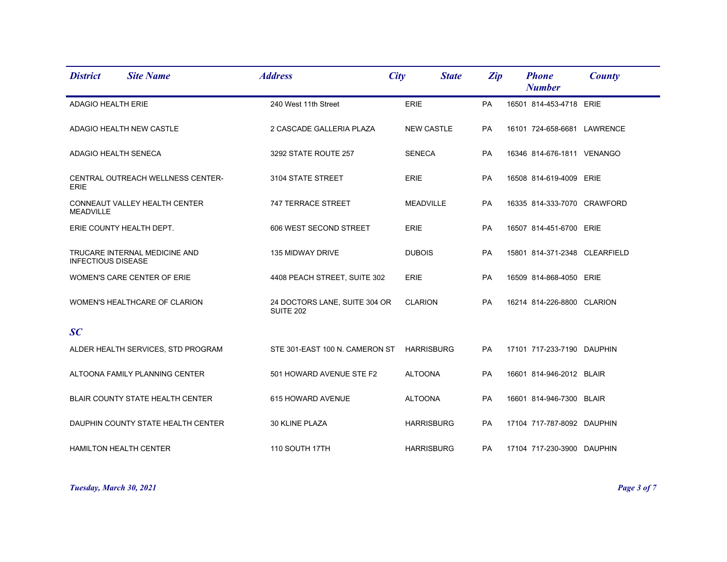| <b>District</b>           | <b>Site Name</b>                   | <b>Address</b>                                    | City              | <b>State</b> | Zip       | <b>Phone</b><br><b>Number</b> | County |
|---------------------------|------------------------------------|---------------------------------------------------|-------------------|--------------|-----------|-------------------------------|--------|
| ADAGIO HEALTH ERIE        |                                    | 240 West 11th Street                              | ERIE              |              | PA        | 16501 814-453-4718 ERIE       |        |
|                           | ADAGIO HEALTH NEW CASTLE           | 2 CASCADE GALLERIA PLAZA                          | <b>NEW CASTLE</b> |              | <b>PA</b> | 16101 724-658-6681 LAWRENCE   |        |
| ADAGIO HEALTH SENECA      |                                    | 3292 STATE ROUTE 257                              | <b>SENECA</b>     |              | <b>PA</b> | 16346 814-676-1811 VENANGO    |        |
| <b>ERIE</b>               | CENTRAL OUTREACH WELLNESS CENTER-  | 3104 STATE STREET                                 | <b>ERIE</b>       |              | PA        | 16508 814-619-4009 ERIE       |        |
| <b>MEADVILLE</b>          | CONNEAUT VALLEY HEALTH CENTER      | 747 TERRACE STREET                                | <b>MEADVILLE</b>  |              | <b>PA</b> | 16335 814-333-7070 CRAWFORD   |        |
|                           | ERIE COUNTY HEALTH DEPT.           | 606 WEST SECOND STREET                            | <b>ERIE</b>       |              | <b>PA</b> | 16507 814-451-6700 ERIE       |        |
| <b>INFECTIOUS DISEASE</b> | TRUCARE INTERNAL MEDICINE AND      | 135 MIDWAY DRIVE                                  | <b>DUBOIS</b>     |              | PA        | 15801 814-371-2348 CLEARFIELD |        |
|                           | WOMEN'S CARE CENTER OF ERIE        | 4408 PEACH STREET, SUITE 302                      | <b>ERIE</b>       |              | PA        | 16509 814-868-4050 ERIE       |        |
|                           | WOMEN'S HEALTHCARE OF CLARION      | 24 DOCTORS LANE, SUITE 304 OR<br><b>SUITE 202</b> | <b>CLARION</b>    |              | <b>PA</b> | 16214 814-226-8800 CLARION    |        |
| SC                        |                                    |                                                   |                   |              |           |                               |        |
|                           | ALDER HEALTH SERVICES, STD PROGRAM | STE 301-EAST 100 N. CAMERON ST                    | <b>HARRISBURG</b> |              | <b>PA</b> | 17101 717-233-7190 DAUPHIN    |        |
|                           | ALTOONA FAMILY PLANNING CENTER     | 501 HOWARD AVENUE STE F2                          | <b>ALTOONA</b>    |              | PA        | 16601 814-946-2012 BLAIR      |        |
|                           | BLAIR COUNTY STATE HEALTH CENTER   | 615 HOWARD AVENUE                                 | <b>ALTOONA</b>    |              | PA        | 16601 814-946-7300 BLAIR      |        |
|                           | DAUPHIN COUNTY STATE HEALTH CENTER | 30 KLINE PLAZA                                    | <b>HARRISBURG</b> |              | <b>PA</b> | 17104 717-787-8092 DAUPHIN    |        |
| HAMILTON HEALTH CENTER    |                                    | 110 SOUTH 17TH                                    | <b>HARRISBURG</b> |              | <b>PA</b> | 17104 717-230-3900 DAUPHIN    |        |

*Tuesday, March 30, 2021 Page 3 of 7*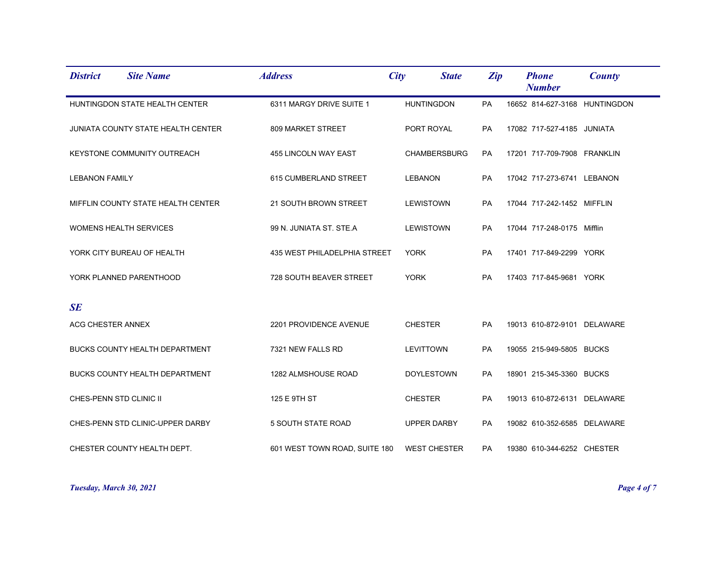| <b>Site Name</b><br><b>District</b>       | <b>Address</b>                | City<br><b>State</b> | Zip       | <b>Phone</b><br><b>Number</b> | <b>County</b> |
|-------------------------------------------|-------------------------------|----------------------|-----------|-------------------------------|---------------|
| HUNTINGDON STATE HEALTH CENTER            | 6311 MARGY DRIVE SUITE 1      | <b>HUNTINGDON</b>    | PA        | 16652 814-627-3168 HUNTINGDON |               |
| <b>JUNIATA COUNTY STATE HEALTH CENTER</b> | 809 MARKET STREET             | PORT ROYAL           | PA        | 17082 717-527-4185 JUNIATA    |               |
| KEYSTONE COMMUNITY OUTREACH               | 455 LINCOLN WAY EAST          | <b>CHAMBERSBURG</b>  | <b>PA</b> | 17201 717-709-7908 FRANKLIN   |               |
| <b>LEBANON FAMILY</b>                     | 615 CUMBERLAND STREET         | <b>LEBANON</b>       | PA        | 17042 717-273-6741 LEBANON    |               |
| MIFFLIN COUNTY STATE HEALTH CENTER        | 21 SOUTH BROWN STREET         | <b>LEWISTOWN</b>     | PA        | 17044 717-242-1452 MIFFLIN    |               |
| <b>WOMENS HEALTH SERVICES</b>             | 99 N. JUNIATA ST. STE.A       | <b>LEWISTOWN</b>     | <b>PA</b> | 17044 717-248-0175 Mifflin    |               |
| YORK CITY BUREAU OF HEALTH                | 435 WEST PHILADELPHIA STREET  | <b>YORK</b>          | PA        | 17401 717-849-2299 YORK       |               |
| YORK PLANNED PARENTHOOD                   | 728 SOUTH BEAVER STREET       | <b>YORK</b>          | PA        | 17403 717-845-9681 YORK       |               |
| <b>SE</b>                                 |                               |                      |           |                               |               |
| ACG CHESTER ANNEX                         | 2201 PROVIDENCE AVENUE        | <b>CHESTER</b>       | PA        | 19013 610-872-9101 DELAWARE   |               |
| BUCKS COUNTY HEALTH DEPARTMENT            | 7321 NEW FALLS RD             | <b>LEVITTOWN</b>     | PA        | 19055 215-949-5805 BUCKS      |               |
| BUCKS COUNTY HEALTH DEPARTMENT            | 1282 ALMSHOUSE ROAD           | <b>DOYLESTOWN</b>    | <b>PA</b> | 18901 215-345-3360 BUCKS      |               |
| CHES-PENN STD CLINIC II                   | 125 E 9TH ST                  | <b>CHESTER</b>       | PA        | 19013 610-872-6131 DELAWARE   |               |
| CHES-PENN STD CLINIC-UPPER DARBY          | 5 SOUTH STATE ROAD            | <b>UPPER DARBY</b>   | PA        | 19082 610-352-6585 DELAWARE   |               |
| CHESTER COUNTY HEALTH DEPT.               | 601 WEST TOWN ROAD, SUITE 180 | <b>WEST CHESTER</b>  | <b>PA</b> | 19380 610-344-6252 CHESTER    |               |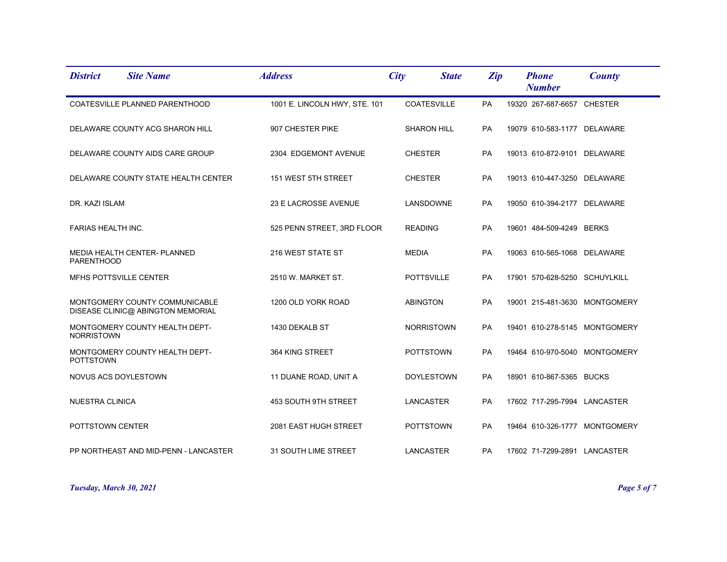| <b>Site Name</b><br><b>District</b>                                 | <b>Address</b>                | City<br><b>State</b> | Zip       | <b>Phone</b><br><b>Number</b> | County |
|---------------------------------------------------------------------|-------------------------------|----------------------|-----------|-------------------------------|--------|
| COATESVILLE PLANNED PARENTHOOD                                      | 1001 E. LINCOLN HWY, STE. 101 | <b>COATESVILLE</b>   | <b>PA</b> | 19320 267-687-6657 CHESTER    |        |
| DELAWARE COUNTY ACG SHARON HILL                                     | 907 CHESTER PIKE              | <b>SHARON HILL</b>   | <b>PA</b> | 19079 610-583-1177 DELAWARE   |        |
| DELAWARE COUNTY AIDS CARE GROUP                                     | 2304 EDGEMONT AVENUE          | <b>CHESTER</b>       | PA        | 19013 610-872-9101 DELAWARE   |        |
| DELAWARE COUNTY STATE HEALTH CENTER                                 | 151 WEST 5TH STREET           | <b>CHESTER</b>       | <b>PA</b> | 19013 610-447-3250 DELAWARE   |        |
| DR. KAZI ISLAM                                                      | 23 E LACROSSE AVENUE          | LANSDOWNE            | PA        | 19050 610-394-2177 DELAWARE   |        |
| <b>FARIAS HEALTH INC.</b>                                           | 525 PENN STREET, 3RD FLOOR    | <b>READING</b>       | <b>PA</b> | 19601 484-509-4249 BERKS      |        |
| MEDIA HEALTH CENTER- PLANNED<br><b>PARENTHOOD</b>                   | 216 WEST STATE ST             | <b>MEDIA</b>         | PA        | 19063 610-565-1068 DELAWARE   |        |
| MFHS POTTSVILLE CENTER                                              | 2510 W. MARKET ST.            | <b>POTTSVILLE</b>    | PA        | 17901 570-628-5250 SCHUYLKILL |        |
| MONTGOMERY COUNTY COMMUNICABLE<br>DISEASE CLINIC@ ABINGTON MEMORIAL | 1200 OLD YORK ROAD            | <b>ABINGTON</b>      | PA        | 19001 215-481-3630 MONTGOMERY |        |
| MONTGOMERY COUNTY HEALTH DEPT-<br><b>NORRISTOWN</b>                 | 1430 DEKALB ST                | <b>NORRISTOWN</b>    | PA        | 19401 610-278-5145 MONTGOMERY |        |
| MONTGOMERY COUNTY HEALTH DEPT-<br><b>POTTSTOWN</b>                  | 364 KING STREET               | <b>POTTSTOWN</b>     | <b>PA</b> | 19464 610-970-5040 MONTGOMERY |        |
| NOVUS ACS DOYLESTOWN                                                | 11 DUANE ROAD, UNIT A         | <b>DOYLESTOWN</b>    | PA        | 18901 610-867-5365 BUCKS      |        |
| <b>NUESTRA CLINICA</b>                                              | 453 SOUTH 9TH STREET          | LANCASTER            | PA        | 17602 717-295-7994 LANCASTER  |        |
| POTTSTOWN CENTER                                                    | 2081 EAST HUGH STREET         | <b>POTTSTOWN</b>     | <b>PA</b> | 19464 610-326-1777 MONTGOMERY |        |
| PP NORTHEAST AND MID-PENN - LANCASTER                               | <b>31 SOUTH LIME STREET</b>   | <b>LANCASTER</b>     | <b>PA</b> | 17602 71-7299-2891 LANCASTER  |        |

*Tuesday, March 30, 2021 Page 5 of 7*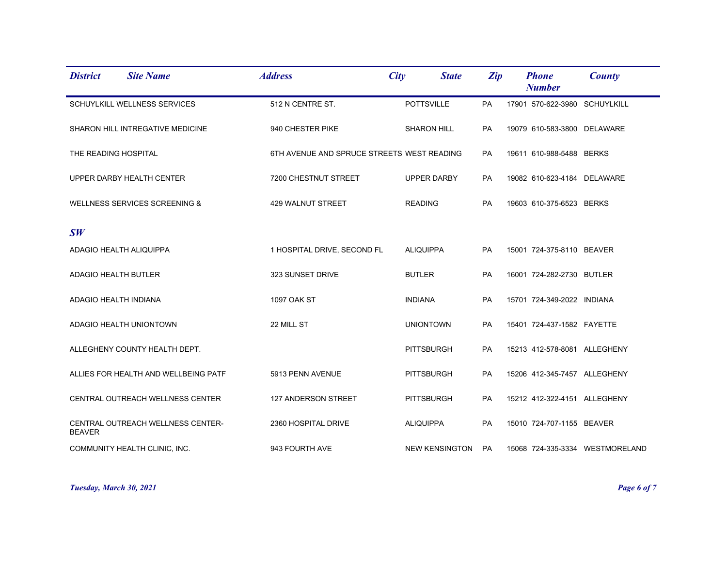| <b>District</b>             | <b>Site Name</b>                         | <b>Address</b>                             | City             | <b>State</b>          | Zip       | <b>Phone</b><br><b>Number</b> | County                          |
|-----------------------------|------------------------------------------|--------------------------------------------|------------------|-----------------------|-----------|-------------------------------|---------------------------------|
|                             | SCHUYLKILL WELLNESS SERVICES             | 512 N CENTRE ST.                           |                  | <b>POTTSVILLE</b>     | PA        | 17901 570-622-3980 SCHUYLKILL |                                 |
|                             | SHARON HILL INTREGATIVE MEDICINE         | 940 CHESTER PIKE                           |                  | <b>SHARON HILL</b>    | PA        | 19079 610-583-3800 DELAWARE   |                                 |
| THE READING HOSPITAL        |                                          | 6TH AVENUE AND SPRUCE STREETS WEST READING |                  |                       | <b>PA</b> | 19611 610-988-5488 BERKS      |                                 |
|                             | UPPER DARBY HEALTH CENTER                | 7200 CHESTNUT STREET                       |                  | <b>UPPER DARBY</b>    | PA        | 19082 610-623-4184 DELAWARE   |                                 |
|                             | <b>WELLNESS SERVICES SCREENING &amp;</b> | 429 WALNUT STREET                          | <b>READING</b>   |                       | PA        | 19603 610-375-6523 BERKS      |                                 |
| SW                          |                                          |                                            |                  |                       |           |                               |                                 |
| ADAGIO HEALTH ALIQUIPPA     |                                          | 1 HOSPITAL DRIVE, SECOND FL                | <b>ALIQUIPPA</b> |                       | <b>PA</b> | 15001 724-375-8110 BEAVER     |                                 |
| <b>ADAGIO HEALTH BUTLER</b> |                                          | 323 SUNSET DRIVE                           | <b>BUTLER</b>    |                       | PA        | 16001 724-282-2730 BUTLER     |                                 |
| ADAGIO HEALTH INDIANA       |                                          | <b>1097 OAK ST</b>                         | <b>INDIANA</b>   |                       | PA        | 15701 724-349-2022 INDIANA    |                                 |
|                             | ADAGIO HEALTH UNIONTOWN                  | 22 MILL ST                                 |                  | <b>UNIONTOWN</b>      | PA        | 15401 724-437-1582 FAYETTE    |                                 |
|                             | ALLEGHENY COUNTY HEALTH DEPT.            |                                            |                  | <b>PITTSBURGH</b>     | PA        | 15213 412-578-8081 ALLEGHENY  |                                 |
|                             | ALLIES FOR HEALTH AND WELLBEING PATF     | 5913 PENN AVENUE                           |                  | <b>PITTSBURGH</b>     | <b>PA</b> | 15206 412-345-7457 ALLEGHENY  |                                 |
|                             | CENTRAL OUTREACH WELLNESS CENTER         | 127 ANDERSON STREET                        |                  | <b>PITTSBURGH</b>     | PA        | 15212 412-322-4151 ALLEGHENY  |                                 |
| <b>BEAVER</b>               | CENTRAL OUTREACH WELLNESS CENTER-        | 2360 HOSPITAL DRIVE                        | <b>ALIQUIPPA</b> |                       | PA        | 15010 724-707-1155 BEAVER     |                                 |
|                             | COMMUNITY HEALTH CLINIC, INC.            | 943 FOURTH AVE                             |                  | <b>NEW KENSINGTON</b> | PA        |                               | 15068 724-335-3334 WESTMORELAND |

*Tuesday, March 30, 2021 Page 6 of 7*